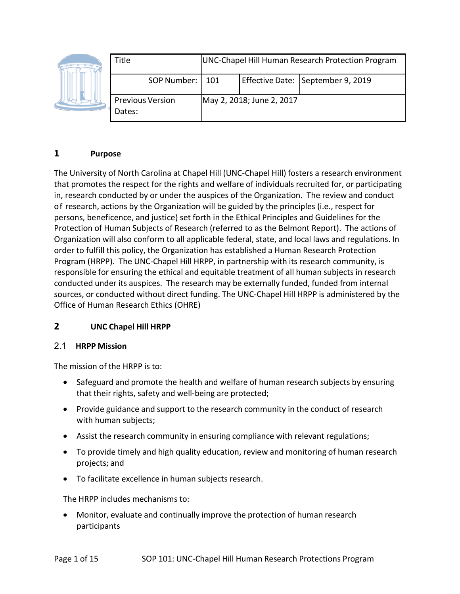|  | Title                             | UNC-Chapel Hill Human Research Protection Program |                           |                                   |
|--|-----------------------------------|---------------------------------------------------|---------------------------|-----------------------------------|
|  | SOP Number:   101                 |                                                   |                           | Effective Date: September 9, 2019 |
|  | <b>Previous Version</b><br>Dates: |                                                   | May 2, 2018; June 2, 2017 |                                   |

### **1 Purpose**

The University of North Carolina at Chapel Hill (UNC‐Chapel Hill) fosters a research environment that promotes the respect for the rights and welfare of individuals recruited for, or participating in, research conducted by or under the auspices of the Organization. The review and conduct of research, actions by the Organization will be guided by the principles (i.e., respect for persons, beneficence, and justice) set forth in the Ethical Principles and Guidelines for the Protection of Human Subjects of Research (referred to as the Belmont Report). The actions of Organization will also conform to all applicable federal, state, and local laws and regulations. In order to fulfill this policy, the Organization has established a Human Research Protection Program (HRPP). The UNC‐Chapel Hill HRPP, in partnership with its research community, is responsible for ensuring the ethical and equitable treatment of all human subjects in research conducted under its auspices. The research may be externally funded, funded from internal sources, or conducted without direct funding. The UNC‐Chapel Hill HRPP is administered by the Office of Human Research Ethics (OHRE)

## **2 UNC Chapel Hill HRPP**

#### 2.1 **HRPP Mission**

The mission of the HRPP is to:

- Safeguard and promote the health and welfare of human research subjects by ensuring that their rights, safety and well‐being are protected;
- Provide guidance and support to the research community in the conduct of research with human subjects;
- Assist the research community in ensuring compliance with relevant regulations;
- To provide timely and high quality education, review and monitoring of human research projects; and
- To facilitate excellence in human subjects research.

The HRPP includes mechanisms to:

• Monitor, evaluate and continually improve the protection of human research participants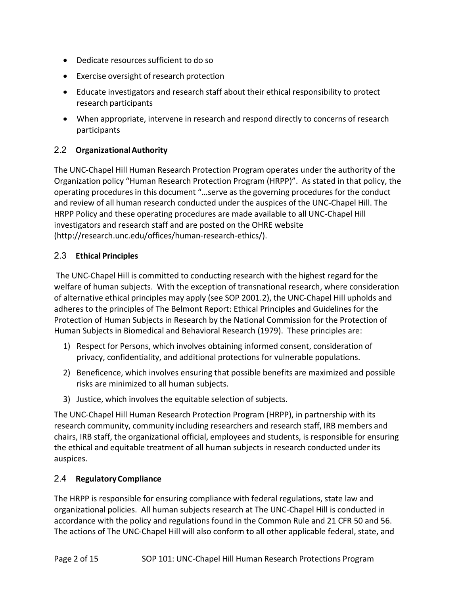- Dedicate resources sufficient to do so
- Exercise oversight of research protection
- Educate investigators and research staff about their ethical responsibility to protect research participants
- When appropriate, intervene in research and respond directly to concerns of research participants

## 2.2 **OrganizationalAuthority**

The UNC‐Chapel Hill Human Research Protection Program operates under the authority of the Organization policy "Human Research Protection Program (HRPP)". As stated in that policy, the operating procedures in this document "…serve as the governing procedures for the conduct and review of all human research conducted under the auspices of the UNC‐Chapel Hill. The HRPP Policy and these operating procedures are made available to all UNC‐Chapel Hill investigators and research staff and are posted on the OHRE website [\(http://research.unc.edu/offices/human‐](http://research.unc.edu/offices/human)research‐ethics/).

## 2.3 **Ethical Principles**

The UNC‐Chapel Hill is committed to conducting research with the highest regard for the welfare of human subjects. With the exception of transnational research, where consideration of alternative ethical principles may apply (see SOP 2001.2), the UNC‐Chapel Hill upholds and adheres to the principles of The Belmont Report: Ethical Principles and Guidelines for the Protection of Human Subjects in Research by the National Commission for the Protection of Human Subjects in Biomedical and Behavioral Research (1979). These principles are:

- 1) Respect for Persons, which involves obtaining informed consent, consideration of privacy, confidentiality, and additional protections for vulnerable populations.
- 2) Beneficence, which involves ensuring that possible benefits are maximized and possible risks are minimized to all human subjects.
- 3) Justice, which involves the equitable selection of subjects.

The UNC‐Chapel Hill Human Research Protection Program (HRPP), in partnership with its research community, community including researchers and research staff, IRB members and chairs, IRB staff, the organizational official, employees and students, is responsible for ensuring the ethical and equitable treatment of all human subjects in research conducted under its auspices.

## 2.4 **RegulatoryCompliance**

The HRPP is responsible for ensuring compliance with federal regulations, state law and organizational policies. All human subjects research at The UNC‐Chapel Hill is conducted in accordance with the policy and regulations found in the Common Rule and 21 CFR 50 and 56. The actions of The UNC‐Chapel Hill will also conform to all other applicable federal, state, and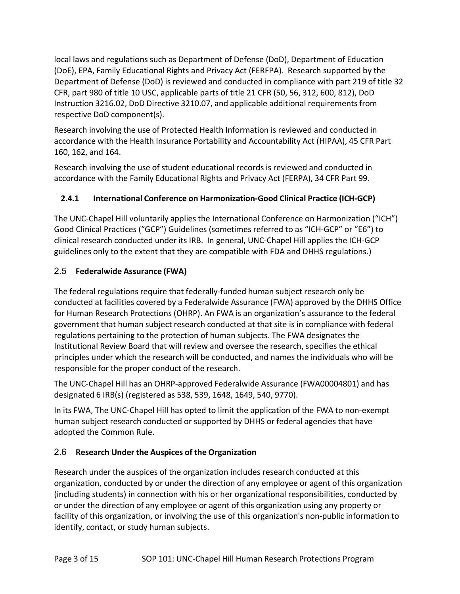local laws and regulations such as Department of Defense (DoD), Department of Education (DoE), EPA, Family Educational Rights and Privacy Act (FERFPA). Research supported by the Department of Defense (DoD) is reviewed and conducted in compliance with part 219 of title 32 CFR, part 980 of title 10 USC, applicable parts of title 21 CFR (50, 56, 312, 600, 812), DoD Instruction 3216.02, DoD Directive 3210.07, and applicable additional requirementsfrom respective DoD component(s).

Research involving the use of Protected Health Information is reviewed and conducted in accordance with the Health Insurance Portability and Accountability Act (HIPAA), 45 CFR Part 160, 162, and 164.

Research involving the use of student educational records is reviewed and conducted in accordance with the Family Educational Rights and Privacy Act (FERPA), 34 CFR Part 99.

# **2.4.1 International Conference on Harmonization‐Good Clinical Practice (ICH‐GCP)**

The UNC-Chapel Hill voluntarily applies the International Conference on Harmonization ("ICH") Good Clinical Practices ("GCP") Guidelines (sometimes referred to as "ICH‐GCP" or "E6") to clinical research conducted under its IRB. In general, UNC‐Chapel Hill applies the ICH‐GCP guidelines only to the extent that they are compatible with FDA and DHHS regulations.)

# 2.5 **Federalwide Assurance (FWA)**

The federal regulations require that federally‐funded human subject research only be conducted at facilities covered by a Federalwide Assurance (FWA) approved by the DHHS Office for Human Research Protections (OHRP). An FWA is an organization's assurance to the federal government that human subject research conducted at that site is in compliance with federal regulations pertaining to the protection of human subjects. The FWA designates the Institutional Review Board that will review and oversee the research, specifies the ethical principles under which the research will be conducted, and names the individuals who will be responsible for the proper conduct of the research.

The UNC‐Chapel Hill has an OHRP‐approved Federalwide Assurance (FWA00004801) and has designated 6 IRB(s) (registered as 538, 539, 1648, 1649, 540, 9770).

In its FWA, The UNC‐Chapel Hill has opted to limit the application of the FWA to non‐exempt human subject research conducted or supported by DHHS or federal agencies that have adopted the Common Rule.

## 2.6 **Research Under the Auspices of the Organization**

Research under the auspices of the organization includes research conducted at this organization, conducted by or under the direction of any employee or agent of this organization (including students) in connection with his or her organizational responsibilities, conducted by or under the direction of any employee or agent of this organization using any property or facility of this organization, or involving the use of this organization's non-public information to identify, contact, or study human subjects.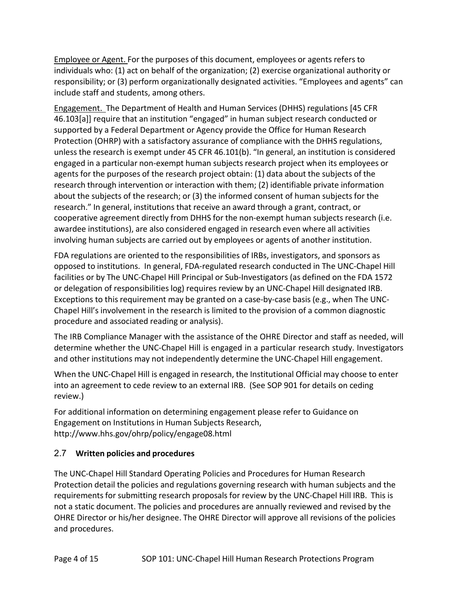Employee or Agent. For the purposes of this document, employees or agents refers to individuals who: (1) act on behalf of the organization; (2) exercise organizational authority or responsibility; or (3) perform organizationally designated activities. "Employees and agents" can include staff and students, among others.

Engagement. The Department of Health and Human Services (DHHS) regulations [45 CFR 46.103[a]] require that an institution "engaged" in human subject research conducted or supported by a Federal Department or Agency provide the Office for Human Research Protection (OHRP) with a satisfactory assurance of compliance with the DHHS regulations, unless the research is exempt under 45 CFR 46.101(b). "In general, an institution is considered engaged in a particular non‐exempt human subjects research project when its employees or agents for the purposes of the research project obtain: (1) data about the subjects of the research through intervention or interaction with them; (2) identifiable private information about the subjects of the research; or (3) the informed consent of human subjects for the research." In general, institutions that receive an award through a grant, contract, or cooperative agreement directly from DHHS for the non-exempt human subjects research (i.e. awardee institutions), are also considered engaged in research even where all activities involving human subjects are carried out by employees or agents of another institution.

FDA regulations are oriented to the responsibilities of IRBs, investigators, and sponsors as opposed to institutions. In general, FDA‐regulated research conducted in The UNC‐Chapel Hill facilities or by The UNC-Chapel Hill Principal or Sub-Investigators (as defined on the FDA 1572 or delegation of responsibilities log) requires review by an UNC‐Chapel Hill designated IRB. Exceptions to this requirement may be granted on a case-by-case basis (e.g., when The UNC-Chapel Hill's involvement in the research is limited to the provision of a common diagnostic procedure and associated reading or analysis).

The IRB Compliance Manager with the assistance of the OHRE Director and staff as needed, will determine whether the UNC‐Chapel Hill is engaged in a particular research study. Investigators and other institutions may not independently determine the UNC‐Chapel Hill engagement.

When the UNC‐Chapel Hill is engaged in research, the Institutional Official may choose to enter into an agreement to cede review to an external IRB. (See SOP 901 for details on ceding review.)

For additional information on determining engagement please refer to Guidance on Engagement on Institutions in Human Subjects Research, <http://www.hhs.gov/ohrp/policy/engage08.html>

## 2.7 **Written policies and procedures**

The UNC‐Chapel Hill Standard Operating Policies and Procedures for Human Research Protection detail the policies and regulations governing research with human subjects and the requirements for submitting research proposals for review by the UNC‐Chapel Hill IRB. This is not a static document. The policies and procedures are annually reviewed and revised by the OHRE Director or his/her designee. The OHRE Director will approve all revisions of the policies and procedures.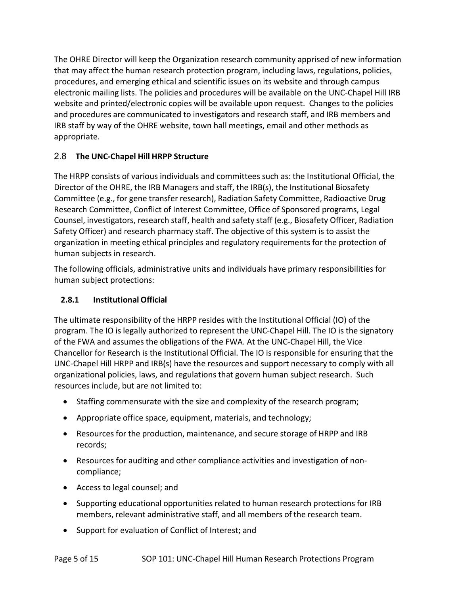The OHRE Director will keep the Organization research community apprised of new information that may affect the human research protection program, including laws, regulations, policies, procedures, and emerging ethical and scientific issues on its website and through campus electronic mailing lists. The policies and procedures will be available on the UNC‐Chapel Hill IRB website and printed/electronic copies will be available upon request. Changes to the policies and procedures are communicated to investigators and research staff, and IRB members and IRB staff by way of the OHRE website, town hall meetings, email and other methods as appropriate.

# 2.8 **The UNC‐Chapel Hill HRPP Structure**

The HRPP consists of various individuals and committees such as: the Institutional Official, the Director of the OHRE, the IRB Managers and staff, the IRB(s), the Institutional Biosafety Committee (e.g., for gene transfer research), Radiation Safety Committee, Radioactive Drug Research Committee, Conflict of Interest Committee, Office of Sponsored programs, Legal Counsel, investigators, research staff, health and safety staff (e.g., Biosafety Officer, Radiation Safety Officer) and research pharmacy staff. The objective of this system is to assist the organization in meeting ethical principles and regulatory requirements for the protection of human subjects in research.

The following officials, administrative units and individuals have primary responsibilities for human subject protections:

## **2.8.1 InstitutionalOfficial**

The ultimate responsibility of the HRPP resides with the Institutional Official (IO) of the program. The IO is legally authorized to represent the UNC‐Chapel Hill. The IO is the signatory of the FWA and assumes the obligations of the FWA. At the UNC‐Chapel Hill, the Vice Chancellor for Research is the Institutional Official. The IO is responsible for ensuring that the UNC‐Chapel Hill HRPP and IRB(s) have the resources and support necessary to comply with all organizational policies, laws, and regulations that govern human subject research. Such resources include, but are not limited to:

- Staffing commensurate with the size and complexity of the research program;
- Appropriate office space, equipment, materials, and technology;
- Resources for the production, maintenance, and secure storage of HRPP and IRB records;
- Resources for auditing and other compliance activities and investigation of non‐ compliance;
- Access to legal counsel; and
- Supporting educational opportunities related to human research protections for IRB members, relevant administrative staff, and all members of the research team.
- Support for evaluation of Conflict of Interest; and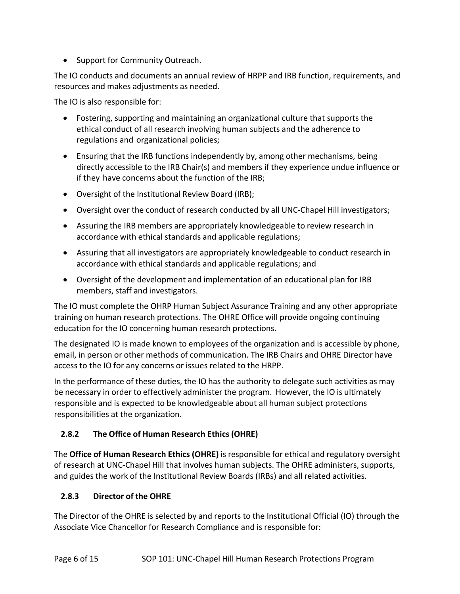• Support for Community Outreach.

The IO conducts and documents an annual review of HRPP and IRB function, requirements, and resources and makes adjustments as needed.

The IO is also responsible for:

- Fostering, supporting and maintaining an organizational culture that supports the ethical conduct of all research involving human subjects and the adherence to regulations and organizational policies;
- Ensuring that the IRB functions independently by, among other mechanisms, being directly accessible to the IRB Chair(s) and members if they experience undue influence or if they have concerns about the function of the IRB;
- Oversight of the Institutional Review Board (IRB);
- Oversight over the conduct of research conducted by all UNC-Chapel Hill investigators;
- Assuring the IRB members are appropriately knowledgeable to review research in accordance with ethical standards and applicable regulations;
- Assuring that all investigators are appropriately knowledgeable to conduct research in accordance with ethical standards and applicable regulations; and
- Oversight of the development and implementation of an educational plan for IRB members, staff and investigators.

The IO must complete the OHRP Human Subject Assurance Training and any other appropriate training on human research protections. The OHRE Office will provide ongoing continuing education for the IO concerning human research protections.

The designated IO is made known to employees of the organization and is accessible by phone, email, in person or other methods of communication. The IRB Chairs and OHRE Director have access to the IO for any concerns or issues related to the HRPP.

In the performance of these duties, the IO has the authority to delegate such activities as may be necessary in order to effectively administer the program. However, the IO is ultimately responsible and is expected to be knowledgeable about all human subject protections responsibilities at the organization.

## **2.8.2 The Office of Human Research Ethics (OHRE)**

The **Office of Human Research Ethics (OHRE)** is responsible for ethical and regulatory oversight of research at UNC‐Chapel Hill that involves human subjects. The OHRE administers, supports, and guides the work of the Institutional Review Boards (IRBs) and all related activities.

## **2.8.3 Director of the OHRE**

The Director of the OHRE is selected by and reports to the Institutional Official (IO) through the Associate Vice Chancellor for Research Compliance and is responsible for: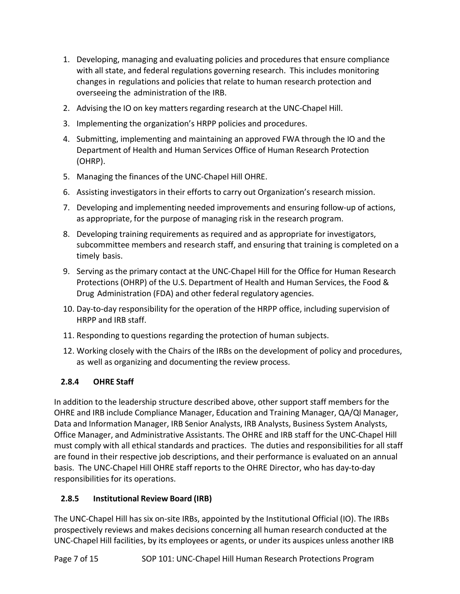- 1. Developing, managing and evaluating policies and procedures that ensure compliance with all state, and federal regulations governing research. This includes monitoring changes in regulations and policies that relate to human research protection and overseeing the administration of the IRB.
- 2. Advising the IO on key matters regarding research at the UNC-Chapel Hill.
- 3. Implementing the organization's HRPP policies and procedures.
- 4. Submitting, implementing and maintaining an approved FWA through the IO and the Department of Health and Human Services Office of Human Research Protection (OHRP).
- 5. Managing the finances of the UNC‐Chapel Hill OHRE.
- 6. Assisting investigators in their efforts to carry out Organization's research mission.
- 7. Developing and implementing needed improvements and ensuring follow‐up of actions, as appropriate, for the purpose of managing risk in the research program.
- 8. Developing training requirements as required and as appropriate for investigators, subcommittee members and research staff, and ensuring that training is completed on a timely basis.
- 9. Serving as the primary contact at the UNC-Chapel Hill for the Office for Human Research Protections (OHRP) of the U.S. Department of Health and Human Services, the Food & Drug Administration (FDA) and other federal regulatory agencies.
- 10. Day-to-day responsibility for the operation of the HRPP office, including supervision of HRPP and IRB staff.
- 11. Responding to questions regarding the protection of human subjects.
- 12. Working closely with the Chairs of the IRBs on the development of policy and procedures, as well as organizing and documenting the review process.

## **2.8.4 OHRE Staff**

In addition to the leadership structure described above, other support staff members for the OHRE and IRB include Compliance Manager, Education and Training Manager, QA/QI Manager, Data and Information Manager, IRB Senior Analysts, IRB Analysts, Business System Analysts, Office Manager, and Administrative Assistants. The OHRE and IRB staff for the UNC‐Chapel Hill must comply with all ethical standards and practices. The duties and responsibilities for all staff are found in their respective job descriptions, and their performance is evaluated on an annual basis. The UNC‐Chapel Hill OHRE staff reports to the OHRE Director, who has day‐to‐day responsibilities for its operations.

## **2.8.5 Institutional Review Board (IRB)**

The UNC-Chapel Hill has six on-site IRBs, appointed by the Institutional Official (IO). The IRBs prospectively reviews and makes decisions concerning all human research conducted at the UNC‐Chapel Hill facilities, by its employees or agents, or under its auspices unless another IRB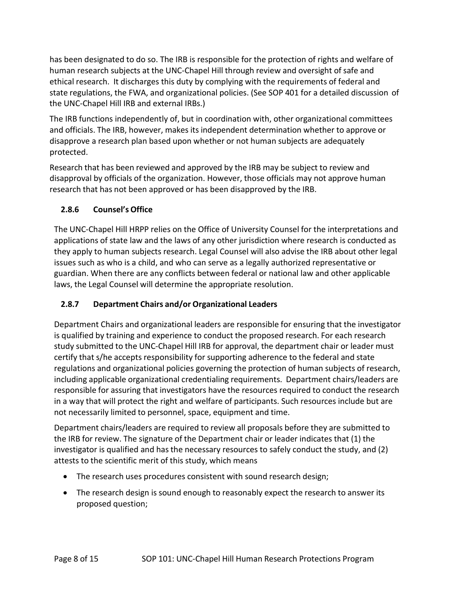has been designated to do so. The IRB is responsible for the protection of rights and welfare of human research subjects at the UNC‐Chapel Hill through review and oversight of safe and ethical research. It discharges this duty by complying with the requirements of federal and state regulations, the FWA, and organizational policies. (See SOP 401 for a detailed discussion of the UNC-Chapel Hill IRB and external IRBs.)

The IRB functions independently of, but in coordination with, other organizational committees and officials. The IRB, however, makes its independent determination whether to approve or disapprove a research plan based upon whether or not human subjects are adequately protected.

Research that has been reviewed and approved by the IRB may be subject to review and disapproval by officials of the organization. However, those officials may not approve human research that has not been approved or has been disapproved by the IRB.

## **2.8.6 Counsel's Office**

The UNC‐Chapel Hill HRPP relies on the Office of University Counsel for the interpretations and applications of state law and the laws of any other jurisdiction where research is conducted as they apply to human subjects research. Legal Counsel will also advise the IRB about other legal issues such as who is a child, and who can serve as a legally authorized representative or guardian. When there are any conflicts between federal or national law and other applicable laws, the Legal Counsel will determine the appropriate resolution.

## **2.8.7 Department Chairs and/or Organizational Leaders**

Department Chairs and organizational leaders are responsible for ensuring that the investigator is qualified by training and experience to conduct the proposed research. For each research study submitted to the UNC‐Chapel Hill IRB for approval, the department chair or leader must certify that s/he accepts responsibility for supporting adherence to the federal and state regulations and organizational policies governing the protection of human subjects of research, including applicable organizational credentialing requirements. Department chairs/leaders are responsible for assuring that investigators have the resources required to conduct the research in a way that will protect the right and welfare of participants. Such resources include but are not necessarily limited to personnel, space, equipment and time.

Department chairs/leaders are required to review all proposals before they are submitted to the IRB for review. The signature of the Department chair or leader indicates that (1) the investigator is qualified and has the necessary resources to safely conduct the study, and (2) attests to the scientific merit of this study, which means

- The research uses procedures consistent with sound research design;
- The research design is sound enough to reasonably expect the research to answer its proposed question;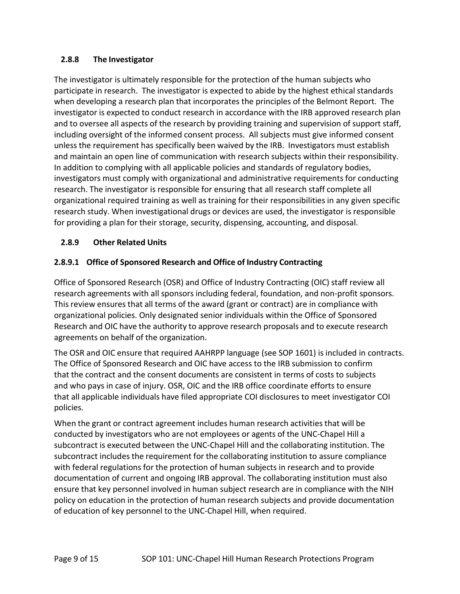#### **2.8.8 The Investigator**

The investigator is ultimately responsible for the protection of the human subjects who participate in research. The investigator is expected to abide by the highest ethical standards when developing a research plan that incorporates the principles of the Belmont Report. The investigator is expected to conduct research in accordance with the IRB approved research plan and to oversee all aspects of the research by providing training and supervision of support staff, including oversight of the informed consent process. All subjects must give informed consent unless the requirement has specifically been waived by the IRB. Investigators must establish and maintain an open line of communication with research subjects within their responsibility. In addition to complying with all applicable policies and standards of regulatory bodies, investigators must comply with organizational and administrative requirements for conducting research. The investigator is responsible for ensuring that all research staff complete all organizational required training as well as training for their responsibilities in any given specific research study. When investigational drugs or devices are used, the investigator is responsible for providing a plan for their storage, security, dispensing, accounting, and disposal.

#### **2.8.9 Other Related Units**

## **2.8.9.1 Office of Sponsored Research and Office of Industry Contracting**

Office of Sponsored Research (OSR) and Office of Industry Contracting (OIC) staff review all research agreements with all sponsors including federal, foundation, and non‐profit sponsors. This review ensures that all terms of the award (grant or contract) are in compliance with organizational policies. Only designated senior individuals within the Office of Sponsored Research and OIC have the authority to approve research proposals and to execute research agreements on behalf of the organization.

The OSR and OIC ensure that required AAHRPP language (see SOP 1601) is included in contracts. The Office of Sponsored Research and OIC have access to the IRB submission to confirm that the contract and the consent documents are consistent in terms of costs to subjects and who pays in case of injury. OSR, OIC and the IRB office coordinate efforts to ensure that all applicable individuals have filed appropriate COI disclosures to meet investigator COI policies.

When the grant or contract agreement includes human research activities that will be conducted by investigators who are not employees or agents of the UNC‐Chapel Hill a subcontract is executed between the UNC‐Chapel Hill and the collaborating institution. The subcontract includes the requirement for the collaborating institution to assure compliance with federal regulations for the protection of human subjects in research and to provide documentation of current and ongoing IRB approval. The collaborating institution must also ensure that key personnel involved in human subject research are in compliance with the NIH policy on education in the protection of human research subjects and provide documentation of education of key personnel to the UNC‐Chapel Hill, when required.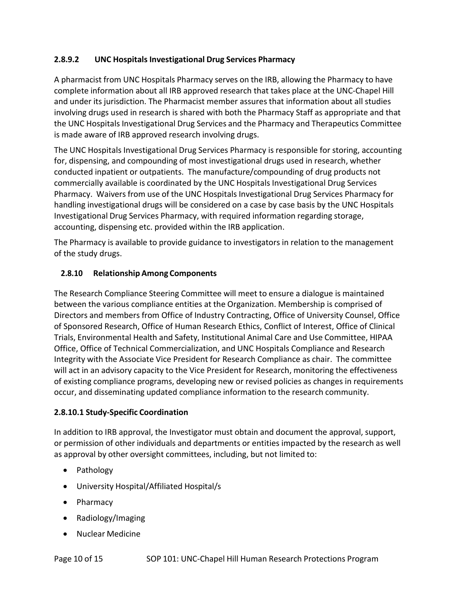#### **2.8.9.2 UNC Hospitals Investigational Drug Services Pharmacy**

A pharmacist from UNC Hospitals Pharmacy serves on the IRB, allowing the Pharmacy to have complete information about all IRB approved research that takes place at the UNC‐Chapel Hill and under its jurisdiction. The Pharmacist member assures that information about all studies involving drugs used in research is shared with both the Pharmacy Staff as appropriate and that the UNC Hospitals Investigational Drug Services and the Pharmacy and Therapeutics Committee is made aware of IRB approved research involving drugs.

The UNC Hospitals Investigational Drug Services Pharmacy is responsible for storing, accounting for, dispensing, and compounding of most investigational drugs used in research, whether conducted inpatient or outpatients. The manufacture/compounding of drug products not commercially available is coordinated by the UNC Hospitals Investigational Drug Services Pharmacy. Waivers from use of the UNC Hospitals Investigational Drug Services Pharmacy for handling investigational drugs will be considered on a case by case basis by the UNC Hospitals Investigational Drug Services Pharmacy, with required information regarding storage, accounting, dispensing etc. provided within the IRB application.

The Pharmacy is available to provide guidance to investigators in relation to the management of the study drugs.

#### **2.8.10 Relationship Among Components**

The Research Compliance Steering Committee will meet to ensure a dialogue is maintained between the various compliance entities at the Organization. Membership is comprised of Directors and members from Office of Industry Contracting, Office of University Counsel, Office of Sponsored Research, Office of Human Research Ethics, Conflict of Interest, Office of Clinical Trials, Environmental Health and Safety, Institutional Animal Care and Use Committee, HIPAA Office, Office of Technical Commercialization, and UNC Hospitals Compliance and Research Integrity with the Associate Vice President for Research Compliance as chair. The committee will act in an advisory capacity to the Vice President for Research, monitoring the effectiveness of existing compliance programs, developing new or revised policies as changes in requirements occur, and disseminating updated compliance information to the research community.

#### **2.8.10.1 Study‐Specific Coordination**

In addition to IRB approval, the Investigator must obtain and document the approval, support, or permission of other individuals and departments or entities impacted by the research as well as approval by other oversight committees, including, but not limited to:

- Pathology
- University Hospital/Affiliated Hospital/s
- Pharmacy
- Radiology/Imaging
- Nuclear Medicine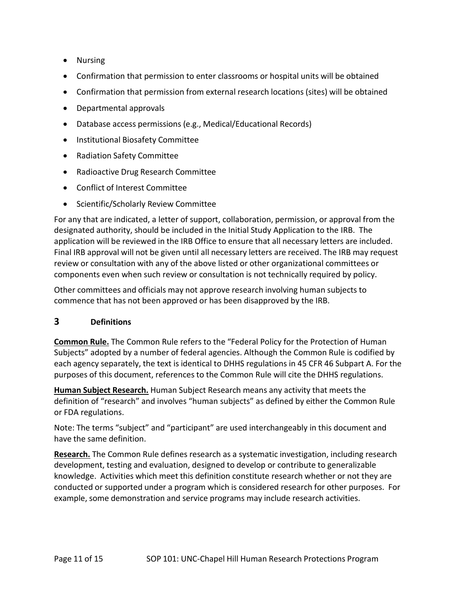- Nursing
- Confirmation that permission to enter classrooms or hospital units will be obtained
- Confirmation that permission from external research locations (sites) will be obtained
- Departmental approvals
- Database access permissions (e.g., Medical/Educational Records)
- Institutional Biosafety Committee
- Radiation Safety Committee
- Radioactive Drug Research Committee
- Conflict of Interest Committee
- Scientific/Scholarly Review Committee

For any that are indicated, a letter of support, collaboration, permission, or approval from the designated authority, should be included in the Initial Study Application to the IRB. The application will be reviewed in the IRB Office to ensure that all necessary letters are included. Final IRB approval will not be given until all necessary letters are received. The IRB may request review or consultation with any of the above listed or other organizational committees or components even when such review or consultation is not technically required by policy.

Other committees and officials may not approve research involving human subjects to commence that has not been approved or has been disapproved by the IRB.

#### **3 Definitions**

**Common Rule.** The Common Rule refers to the "Federal Policy for the Protection of Human Subjects" adopted by a number of federal agencies. Although the Common Rule is codified by each agency separately, the text is identical to DHHS regulations in 45 CFR 46 Subpart A. For the purposes of this document, references to the Common Rule will cite the DHHS regulations.

**Human Subject Research.** Human Subject Research means any activity that meets the definition of "research" and involves "human subjects" as defined by either the Common Rule or FDA regulations.

Note: The terms "subject" and "participant" are used interchangeably in this document and have the same definition.

**Research.** The Common Rule defines research as a systematic investigation, including research development, testing and evaluation, designed to develop or contribute to generalizable knowledge. Activities which meet this definition constitute research whether or not they are conducted or supported under a program which is considered research for other purposes. For example, some demonstration and service programs may include research activities.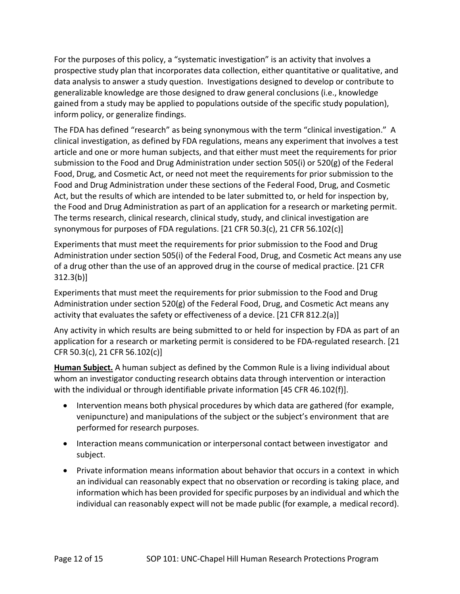For the purposes of this policy, a "systematic investigation" is an activity that involves a prospective study plan that incorporates data collection, either quantitative or qualitative, and data analysis to answer a study question. Investigations designed to develop or contribute to generalizable knowledge are those designed to draw general conclusions (i.e., knowledge gained from a study may be applied to populations outside of the specific study population), inform policy, or generalize findings.

The FDA has defined "research" as being synonymous with the term "clinical investigation." A clinical investigation, as defined by FDA regulations, means any experiment that involves a test article and one or more human subjects, and that either must meet the requirements for prior submission to the Food and Drug Administration under section 505(i) or 520(g) of the Federal Food, Drug, and Cosmetic Act, or need not meet the requirements for prior submission to the Food and Drug Administration under these sections of the Federal Food, Drug, and Cosmetic Act, but the results of which are intended to be later submitted to, or held for inspection by, the Food and Drug Administration as part of an application for a research or marketing permit. The terms research, clinical research, clinical study, study, and clinical investigation are synonymous for purposes of FDA regulations. [21 CFR 50.3(c), 21 CFR 56.102(c)]

Experiments that must meet the requirements for prior submission to the Food and Drug Administration under section 505(i) of the Federal Food, Drug, and Cosmetic Act means any use of a drug other than the use of an approved drug in the course of medical practice. [21 CFR 312.3(b)]

Experiments that must meet the requirements for prior submission to the Food and Drug Administration under section 520(g) of the Federal Food, Drug, and Cosmetic Act means any activity that evaluates the safety or effectiveness of a device. [21 CFR 812.2(a)]

Any activity in which results are being submitted to or held for inspection by FDA as part of an application for a research or marketing permit is considered to be FDA‐regulated research. [21 CFR 50.3(c), 21 CFR 56.102(c)]

**Human Subject.** A human subject as defined by the Common Rule is a living individual about whom an investigator conducting research obtains data through intervention or interaction with the individual or through identifiable private information [45 CFR 46.102(f)].

- Intervention means both physical procedures by which data are gathered (for example, venipuncture) and manipulations of the subject or the subject's environment that are performed for research purposes.
- Interaction means communication or interpersonal contact between investigator and subject.
- Private information means information about behavior that occurs in a context in which an individual can reasonably expect that no observation or recording is taking place, and information which has been provided for specific purposes by an individual and which the individual can reasonably expect will not be made public (for example, a medical record).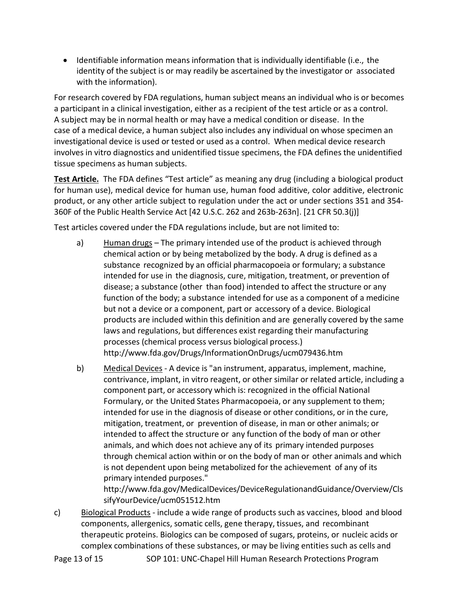• Identifiable information means information that is individually identifiable (i.e., the identity of the subject is or may readily be ascertained by the investigator or associated with the information).

For research covered by FDA regulations, human subject means an individual who is or becomes a participant in a clinical investigation, either as a recipient of the test article or as a control. A subject may be in normal health or may have a medical condition or disease. In the case of a medical device, a human subject also includes any individual on whose specimen an investigational device is used or tested or used as a control. When medical device research involves in vitro diagnostics and unidentified tissue specimens, the FDA defines the unidentified tissue specimens as human subjects.

**Test Article.** The FDA defines "Test article" as meaning any drug (including a biological product for human use), medical device for human use, human food additive, color additive, electronic product, or any other article subject to regulation under the act or under sections 351 and 354‐ 360F of the Public Health Service Act [42 U.S.C. 262 and 263b‐263n]. [21 CFR 50.3(j)]

Test articles covered under the FDA regulations include, but are not limited to:

- a) Human drugs The primary intended use of the product is achieved through chemical action or by being metabolized by the body. A drug is defined as a substance recognized by an official pharmacopoeia or formulary; a substance intended for use in the diagnosis, cure, mitigation, treatment, or prevention of disease; a substance (other than food) intended to affect the structure or any function of the body; a substance intended for use as a component of a medicine but not a device or a component, part or accessory of a device. Biological products are included within this definition and are generally covered by the same laws and regulations, but differences exist regarding their manufacturing processes (chemical process versus biological process.[\)](http://www.fda.gov/Drugs/InformationOnDrugs/ucm079436.htm) <http://www.fda.gov/Drugs/InformationOnDrugs/ucm079436.htm>
- b) Medical Devices ‐ A device is "an instrument, apparatus, implement, machine, contrivance, implant, in vitro reagent, or other similar or related article, including a component part, or accessory which is: recognized in the official National Formulary, or the United States Pharmacopoeia, or any supplement to them; intended for use in the diagnosis of disease or other conditions, or in the cure, mitigation, treatment, or prevention of disease, in man or other animals; or intended to affect the structure or any function of the body of man or other animals, and which does not achieve any of its primary intended purposes through chemical action within or on the body of man or other animals and which is not dependent upon being metabolized for the achievement of any of its primary intended purposes."

http://www.fda.gov/MedicalDevices/DeviceRegulationandGuidance/Overview/Cls sifyYourDevice/ucm051512.htm

c) Biological Products ‐ include a wide range of products such as vaccines, blood and blood components, allergenics, somatic cells, gene therapy, tissues, and recombinant therapeutic proteins. Biologics can be composed of sugars, proteins, or nucleic acids or complex combinations of these substances, or may be living entities such as cells and

Page 13 of 15 SOP 101: UNC-Chapel Hill Human Research Protections Program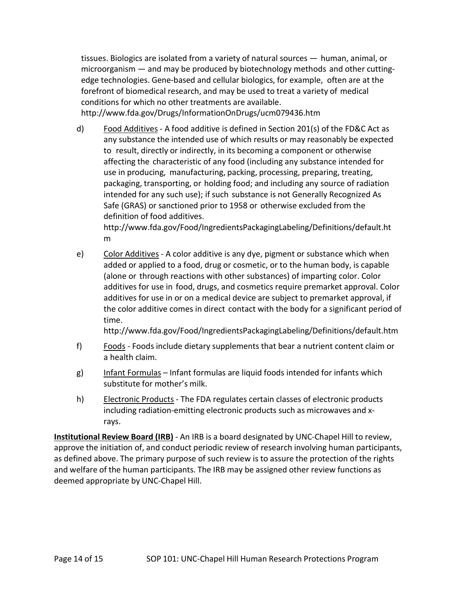tissues. Biologics are isolated from a variety of natural sources — human, animal, or microorganism — and may be produced by biotechnology methods and other cutting‐ edge technologies. Gene‐based and cellular biologics, for example, often are at the forefront of biomedical research, and may be used to treat a variety of medical conditions for which no other treatments are available.

<http://www.fda.gov/Drugs/InformationOnDrugs/ucm079436.htm>

d) Food Additives ‐ A food additive is defined in Section 201(s) of the FD&C Act as any substance the intended use of which results or may reasonably be expected to result, directly or indirectly, in its becoming a component or otherwise affecting the characteristic of any food (including any substance intended for use in producing, manufacturing, packing, processing, preparing, treating, packaging, transporting, or holding food; and including any source of radiation intended for any such use); if such substance is not Generally Recognized As Safe (GRAS) or sanctioned prior to 1958 or otherwise excluded from the definition of food additives.

[http://www.fda.gov/Food/IngredientsPackagingLabeling/Definitions/default.ht](http://www.fda.gov/Food/IngredientsPackagingLabeling/Definitions/default.htm) [m](http://www.fda.gov/Food/IngredientsPackagingLabeling/Definitions/default.htm)

e) Color Additives - A color additive is any dye, pigment or substance which when added or applied to a food, drug or cosmetic, or to the human body, is capable (alone or through reactions with other substances) of imparting color. Color additives for use in food, drugs, and cosmetics require premarket approval. Color additives for use in or on a medical device are subject to premarket approval, if the color additive comes in direct contact with the body for a significant period of time.

<http://www.fda.gov/Food/IngredientsPackagingLabeling/Definitions/default.htm>

- f) Foods Foods include dietary supplements that bear a nutrient content claim or a health claim.
- g) Infant Formulas Infant formulas are liquid foods intended for infants which substitute for mother's milk.
- h) Electronic Products The FDA regulates certain classes of electronic products including radiation-emitting electronic products such as microwaves and xrays.

**Institutional Review Board (IRB)** ‐ An IRB is a board designated by UNC‐Chapel Hill to review, approve the initiation of, and conduct periodic review of research involving human participants, as defined above. The primary purpose of such review is to assure the protection of the rights and welfare of the human participants. The IRB may be assigned other review functions as deemed appropriate by UNC‐Chapel Hill.